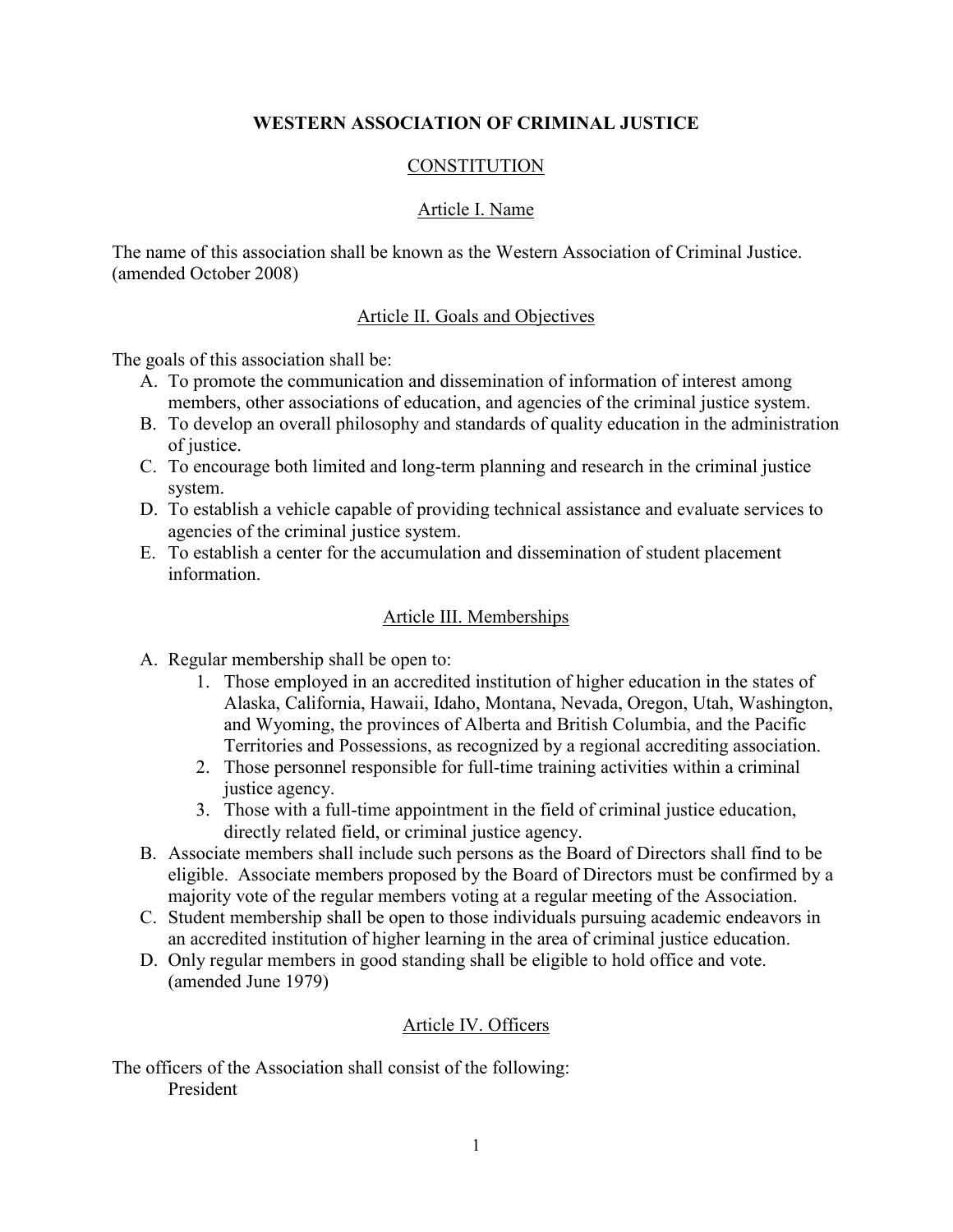# **WESTERN ASSOCIATION OF CRIMINAL JUSTICE**

# **CONSTITUTION**

### Article I. Name

The name of this association shall be known as the Western Association of Criminal Justice. (amended October 2008)

### Article II. Goals and Objectives

The goals of this association shall be:

- A. To promote the communication and dissemination of information of interest among members, other associations of education, and agencies of the criminal justice system.
- B. To develop an overall philosophy and standards of quality education in the administration of justice.
- C. To encourage both limited and long-term planning and research in the criminal justice system.
- D. To establish a vehicle capable of providing technical assistance and evaluate services to agencies of the criminal justice system.
- E. To establish a center for the accumulation and dissemination of student placement information.

### Article III. Memberships

- A. Regular membership shall be open to:
	- 1. Those employed in an accredited institution of higher education in the states of Alaska, California, Hawaii, Idaho, Montana, Nevada, Oregon, Utah, Washington, and Wyoming, the provinces of Alberta and British Columbia, and the Pacific Territories and Possessions, as recognized by a regional accrediting association.
	- 2. Those personnel responsible for full-time training activities within a criminal justice agency.
	- 3. Those with a full-time appointment in the field of criminal justice education, directly related field, or criminal justice agency.
- B. Associate members shall include such persons as the Board of Directors shall find to be eligible. Associate members proposed by the Board of Directors must be confirmed by a majority vote of the regular members voting at a regular meeting of the Association.
- C. Student membership shall be open to those individuals pursuing academic endeavors in an accredited institution of higher learning in the area of criminal justice education.
- D. Only regular members in good standing shall be eligible to hold office and vote. (amended June 1979)

#### Article IV. Officers

The officers of the Association shall consist of the following: President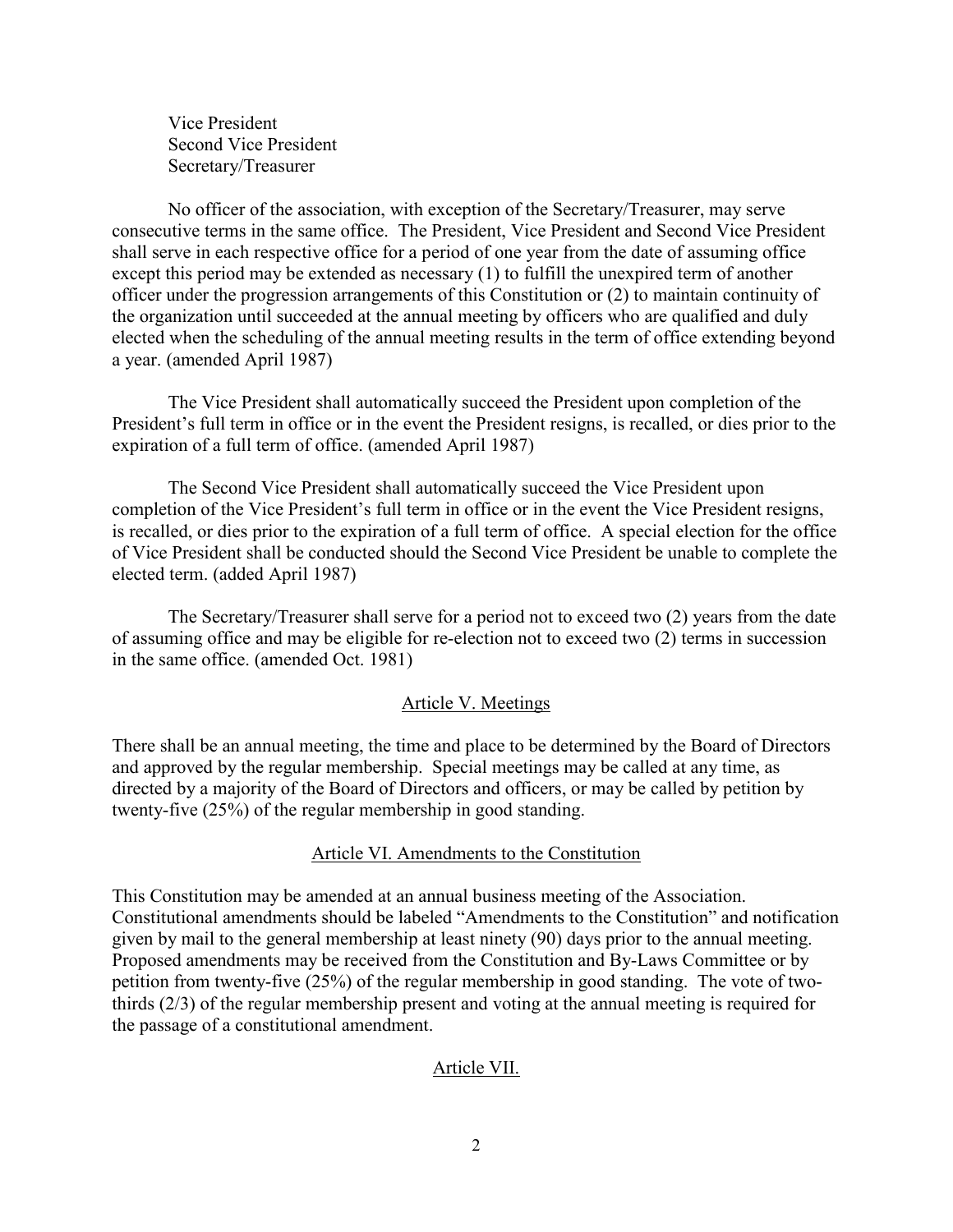Vice President Second Vice President Secretary/Treasurer

No officer of the association, with exception of the Secretary/Treasurer, may serve consecutive terms in the same office. The President, Vice President and Second Vice President shall serve in each respective office for a period of one year from the date of assuming office except this period may be extended as necessary (1) to fulfill the unexpired term of another officer under the progression arrangements of this Constitution or (2) to maintain continuity of the organization until succeeded at the annual meeting by officers who are qualified and duly elected when the scheduling of the annual meeting results in the term of office extending beyond a year. (amended April 1987)

The Vice President shall automatically succeed the President upon completion of the President's full term in office or in the event the President resigns, is recalled, or dies prior to the expiration of a full term of office. (amended April 1987)

The Second Vice President shall automatically succeed the Vice President upon completion of the Vice President's full term in office or in the event the Vice President resigns, is recalled, or dies prior to the expiration of a full term of office. A special election for the office of Vice President shall be conducted should the Second Vice President be unable to complete the elected term. (added April 1987)

The Secretary/Treasurer shall serve for a period not to exceed two (2) years from the date of assuming office and may be eligible for re-election not to exceed two (2) terms in succession in the same office. (amended Oct. 1981)

### Article V. Meetings

There shall be an annual meeting, the time and place to be determined by the Board of Directors and approved by the regular membership. Special meetings may be called at any time, as directed by a majority of the Board of Directors and officers, or may be called by petition by twenty-five (25%) of the regular membership in good standing.

### Article VI. Amendments to the Constitution

This Constitution may be amended at an annual business meeting of the Association. Constitutional amendments should be labeled "Amendments to the Constitution" and notification given by mail to the general membership at least ninety (90) days prior to the annual meeting. Proposed amendments may be received from the Constitution and By-Laws Committee or by petition from twenty-five (25%) of the regular membership in good standing. The vote of twothirds (2/3) of the regular membership present and voting at the annual meeting is required for the passage of a constitutional amendment.

#### Article VII.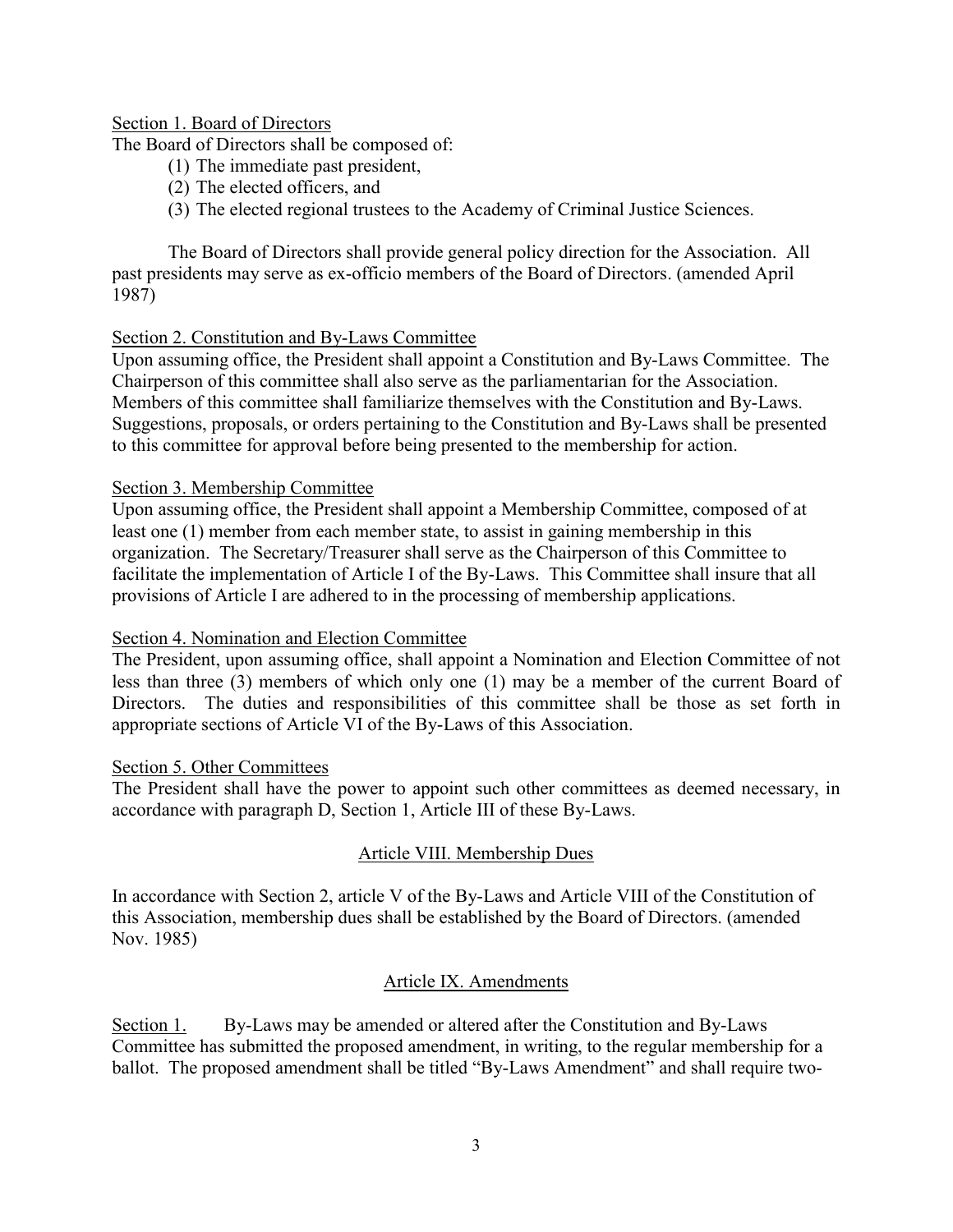### Section 1. Board of Directors

The Board of Directors shall be composed of:

- (1) The immediate past president,
- (2) The elected officers, and
- (3) The elected regional trustees to the Academy of Criminal Justice Sciences.

The Board of Directors shall provide general policy direction for the Association. All past presidents may serve as ex-officio members of the Board of Directors. (amended April 1987)

# Section 2. Constitution and By-Laws Committee

Upon assuming office, the President shall appoint a Constitution and By-Laws Committee. The Chairperson of this committee shall also serve as the parliamentarian for the Association. Members of this committee shall familiarize themselves with the Constitution and By-Laws. Suggestions, proposals, or orders pertaining to the Constitution and By-Laws shall be presented to this committee for approval before being presented to the membership for action.

### Section 3. Membership Committee

Upon assuming office, the President shall appoint a Membership Committee, composed of at least one (1) member from each member state, to assist in gaining membership in this organization. The Secretary/Treasurer shall serve as the Chairperson of this Committee to facilitate the implementation of Article I of the By-Laws. This Committee shall insure that all provisions of Article I are adhered to in the processing of membership applications.

### Section 4. Nomination and Election Committee

The President, upon assuming office, shall appoint a Nomination and Election Committee of not less than three (3) members of which only one (1) may be a member of the current Board of Directors. The duties and responsibilities of this committee shall be those as set forth in appropriate sections of Article VI of the By-Laws of this Association.

### Section 5. Other Committees

The President shall have the power to appoint such other committees as deemed necessary, in accordance with paragraph D, Section 1, Article III of these By-Laws.

# Article VIII. Membership Dues

In accordance with Section 2, article V of the By-Laws and Article VIII of the Constitution of this Association, membership dues shall be established by the Board of Directors. (amended Nov. 1985)

### Article IX. Amendments

Section 1. By-Laws may be amended or altered after the Constitution and By-Laws Committee has submitted the proposed amendment, in writing, to the regular membership for a ballot. The proposed amendment shall be titled "By-Laws Amendment" and shall require two-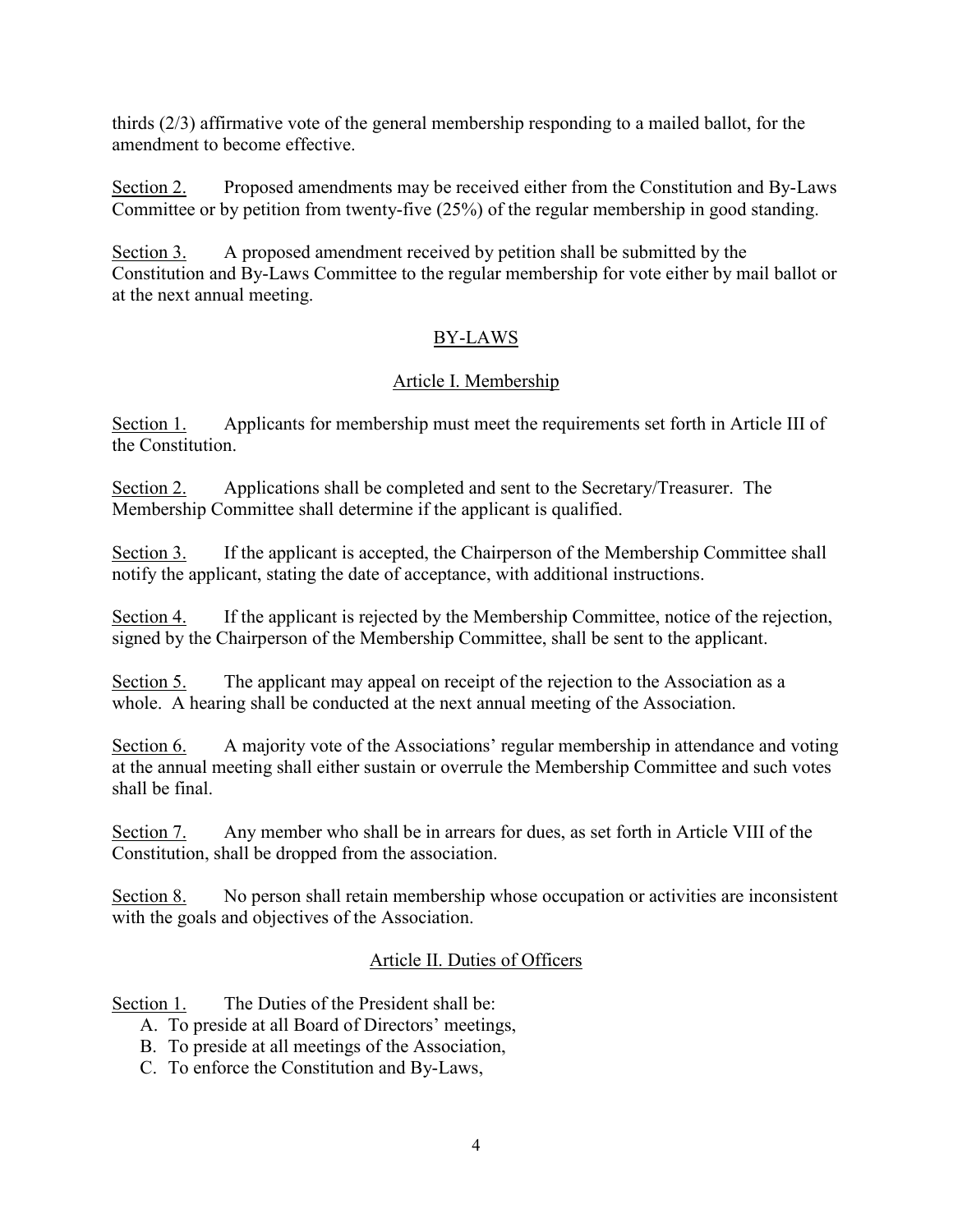thirds (2/3) affirmative vote of the general membership responding to a mailed ballot, for the amendment to become effective.

Section 2. Proposed amendments may be received either from the Constitution and By-Laws Committee or by petition from twenty-five (25%) of the regular membership in good standing.

Section 3. A proposed amendment received by petition shall be submitted by the Constitution and By-Laws Committee to the regular membership for vote either by mail ballot or at the next annual meeting.

# BY-LAWS

# Article I. Membership

Section 1. Applicants for membership must meet the requirements set forth in Article III of the Constitution.

Section 2. Applications shall be completed and sent to the Secretary/Treasurer. The Membership Committee shall determine if the applicant is qualified.

Section 3. If the applicant is accepted, the Chairperson of the Membership Committee shall notify the applicant, stating the date of acceptance, with additional instructions.

Section 4. If the applicant is rejected by the Membership Committee, notice of the rejection, signed by the Chairperson of the Membership Committee, shall be sent to the applicant.

Section 5. The applicant may appeal on receipt of the rejection to the Association as a whole. A hearing shall be conducted at the next annual meeting of the Association.

Section 6. A majority vote of the Associations' regular membership in attendance and voting at the annual meeting shall either sustain or overrule the Membership Committee and such votes shall be final.

Section 7. Any member who shall be in arrears for dues, as set forth in Article VIII of the Constitution, shall be dropped from the association.

Section 8. No person shall retain membership whose occupation or activities are inconsistent with the goals and objectives of the Association.

# Article II. Duties of Officers

Section 1. The Duties of the President shall be:

- A. To preside at all Board of Directors' meetings,
- B. To preside at all meetings of the Association,
- C. To enforce the Constitution and By-Laws,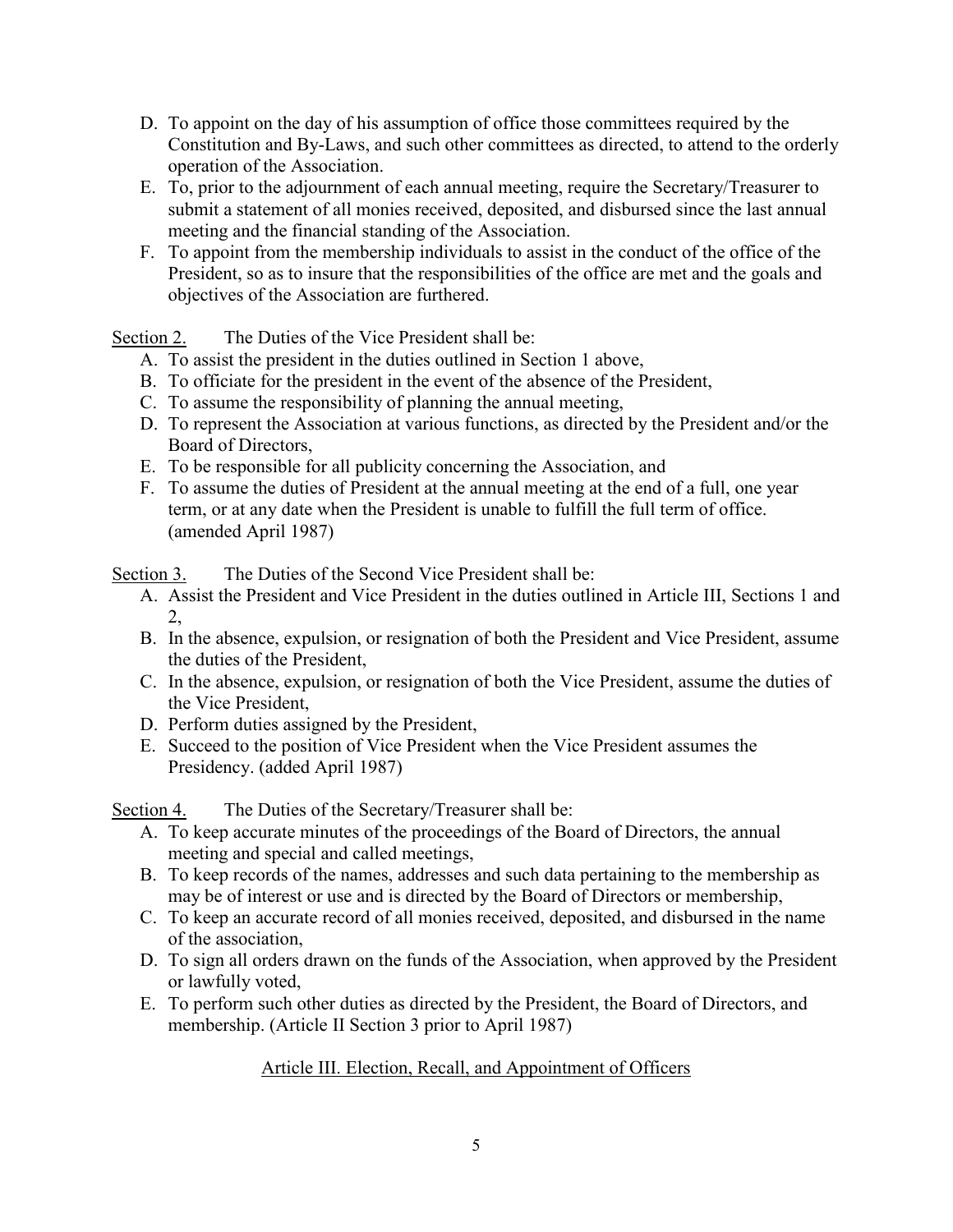- D. To appoint on the day of his assumption of office those committees required by the Constitution and By-Laws, and such other committees as directed, to attend to the orderly operation of the Association.
- E. To, prior to the adjournment of each annual meeting, require the Secretary/Treasurer to submit a statement of all monies received, deposited, and disbursed since the last annual meeting and the financial standing of the Association.
- F. To appoint from the membership individuals to assist in the conduct of the office of the President, so as to insure that the responsibilities of the office are met and the goals and objectives of the Association are furthered.

Section 2. The Duties of the Vice President shall be:

- A. To assist the president in the duties outlined in Section 1 above,
- B. To officiate for the president in the event of the absence of the President,
- C. To assume the responsibility of planning the annual meeting,
- D. To represent the Association at various functions, as directed by the President and/or the Board of Directors,
- E. To be responsible for all publicity concerning the Association, and
- F. To assume the duties of President at the annual meeting at the end of a full, one year term, or at any date when the President is unable to fulfill the full term of office. (amended April 1987)

Section 3. The Duties of the Second Vice President shall be:

- A. Assist the President and Vice President in the duties outlined in Article III, Sections 1 and 2,
- B. In the absence, expulsion, or resignation of both the President and Vice President, assume the duties of the President,
- C. In the absence, expulsion, or resignation of both the Vice President, assume the duties of the Vice President,
- D. Perform duties assigned by the President,
- E. Succeed to the position of Vice President when the Vice President assumes the Presidency. (added April 1987)

Section 4. The Duties of the Secretary/Treasurer shall be:

- A. To keep accurate minutes of the proceedings of the Board of Directors, the annual meeting and special and called meetings,
- B. To keep records of the names, addresses and such data pertaining to the membership as may be of interest or use and is directed by the Board of Directors or membership,
- C. To keep an accurate record of all monies received, deposited, and disbursed in the name of the association,
- D. To sign all orders drawn on the funds of the Association, when approved by the President or lawfully voted,
- E. To perform such other duties as directed by the President, the Board of Directors, and membership. (Article II Section 3 prior to April 1987)

# Article III. Election, Recall, and Appointment of Officers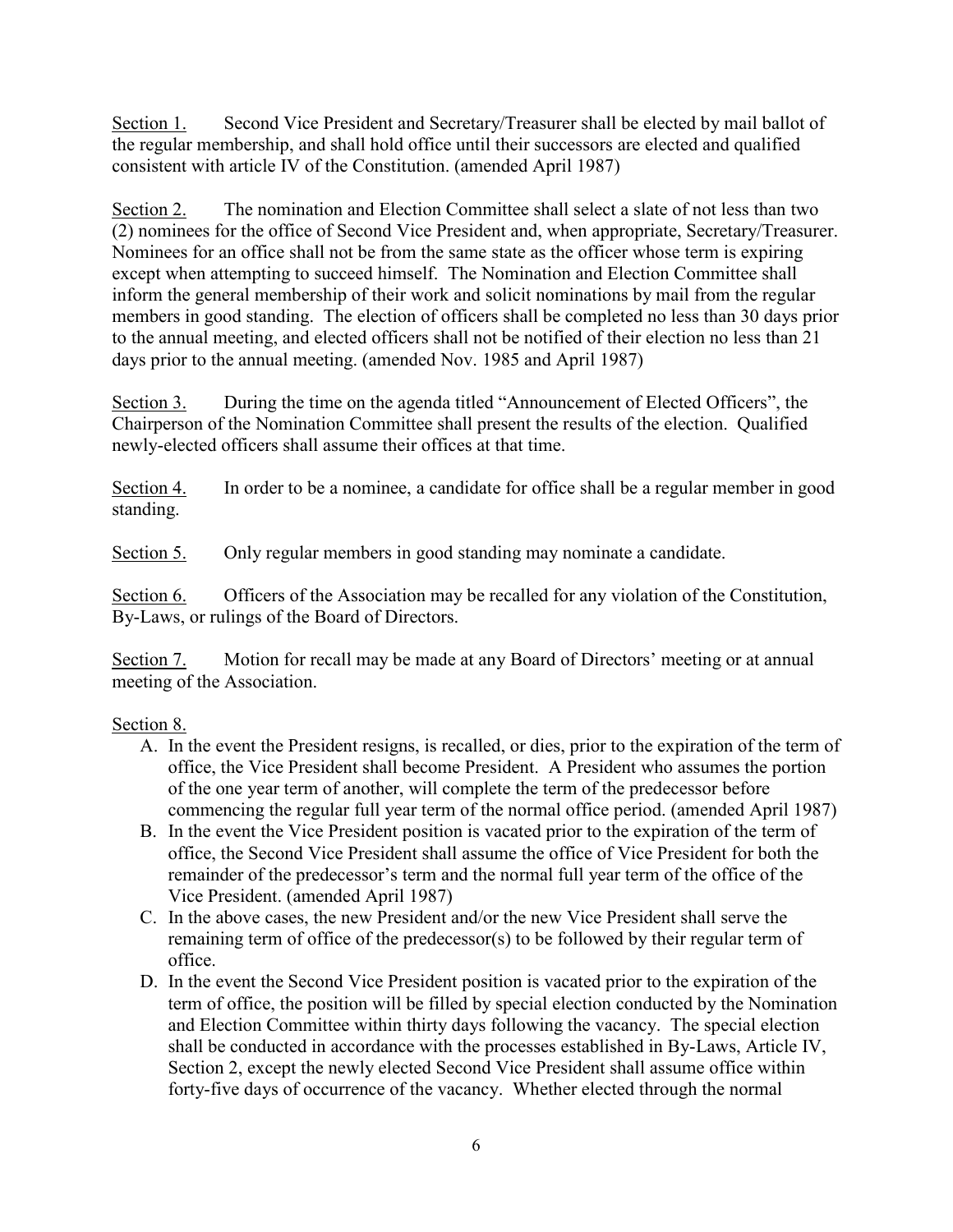Section 1. Second Vice President and Secretary/Treasurer shall be elected by mail ballot of the regular membership, and shall hold office until their successors are elected and qualified consistent with article IV of the Constitution. (amended April 1987)

Section 2. The nomination and Election Committee shall select a slate of not less than two (2) nominees for the office of Second Vice President and, when appropriate, Secretary/Treasurer. Nominees for an office shall not be from the same state as the officer whose term is expiring except when attempting to succeed himself. The Nomination and Election Committee shall inform the general membership of their work and solicit nominations by mail from the regular members in good standing. The election of officers shall be completed no less than 30 days prior to the annual meeting, and elected officers shall not be notified of their election no less than 21 days prior to the annual meeting. (amended Nov. 1985 and April 1987)

Section 3. During the time on the agenda titled "Announcement of Elected Officers", the Chairperson of the Nomination Committee shall present the results of the election. Qualified newly-elected officers shall assume their offices at that time.

Section 4. In order to be a nominee, a candidate for office shall be a regular member in good standing.

Section 5. Only regular members in good standing may nominate a candidate.

Section 6. Officers of the Association may be recalled for any violation of the Constitution, By-Laws, or rulings of the Board of Directors.

Section 7. Motion for recall may be made at any Board of Directors' meeting or at annual meeting of the Association.

# Section 8.

- A. In the event the President resigns, is recalled, or dies, prior to the expiration of the term of office, the Vice President shall become President. A President who assumes the portion of the one year term of another, will complete the term of the predecessor before commencing the regular full year term of the normal office period. (amended April 1987)
- B. In the event the Vice President position is vacated prior to the expiration of the term of office, the Second Vice President shall assume the office of Vice President for both the remainder of the predecessor's term and the normal full year term of the office of the Vice President. (amended April 1987)
- C. In the above cases, the new President and/or the new Vice President shall serve the remaining term of office of the predecessor(s) to be followed by their regular term of office.
- D. In the event the Second Vice President position is vacated prior to the expiration of the term of office, the position will be filled by special election conducted by the Nomination and Election Committee within thirty days following the vacancy. The special election shall be conducted in accordance with the processes established in By-Laws, Article IV, Section 2, except the newly elected Second Vice President shall assume office within forty-five days of occurrence of the vacancy. Whether elected through the normal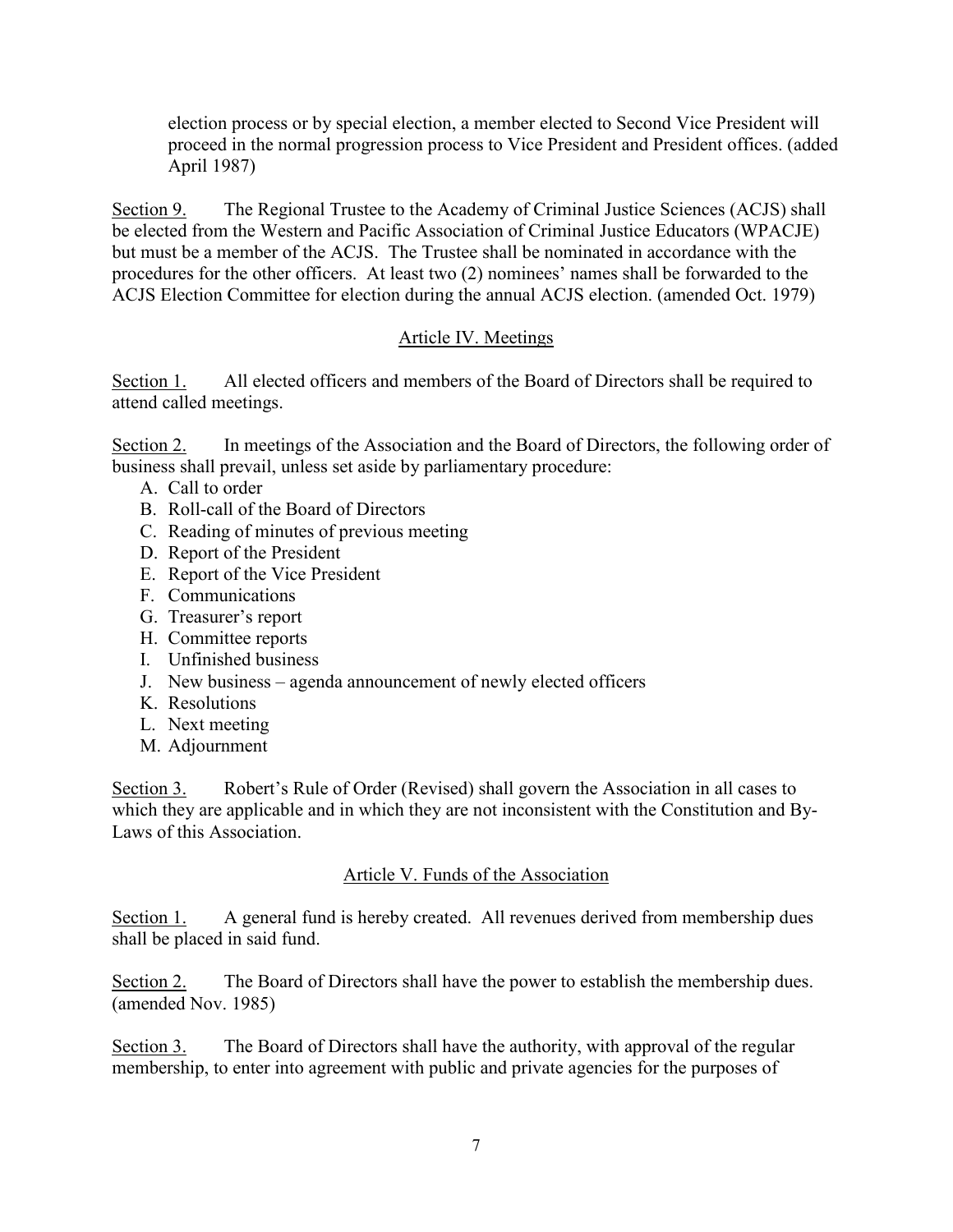election process or by special election, a member elected to Second Vice President will proceed in the normal progression process to Vice President and President offices. (added April 1987)

Section 9. The Regional Trustee to the Academy of Criminal Justice Sciences (ACJS) shall be elected from the Western and Pacific Association of Criminal Justice Educators (WPACJE) but must be a member of the ACJS. The Trustee shall be nominated in accordance with the procedures for the other officers. At least two (2) nominees' names shall be forwarded to the ACJS Election Committee for election during the annual ACJS election. (amended Oct. 1979)

# Article IV. Meetings

Section 1. All elected officers and members of the Board of Directors shall be required to attend called meetings.

Section 2. In meetings of the Association and the Board of Directors, the following order of business shall prevail, unless set aside by parliamentary procedure:

- A. Call to order
- B. Roll-call of the Board of Directors
- C. Reading of minutes of previous meeting
- D. Report of the President
- E. Report of the Vice President
- F. Communications
- G. Treasurer's report
- H. Committee reports
- I. Unfinished business
- J. New business agenda announcement of newly elected officers
- K. Resolutions
- L. Next meeting
- M. Adjournment

Section 3. Robert's Rule of Order (Revised) shall govern the Association in all cases to which they are applicable and in which they are not inconsistent with the Constitution and By-Laws of this Association.

### Article V. Funds of the Association

Section 1. A general fund is hereby created. All revenues derived from membership dues shall be placed in said fund.

Section 2. The Board of Directors shall have the power to establish the membership dues. (amended Nov. 1985)

Section 3. The Board of Directors shall have the authority, with approval of the regular membership, to enter into agreement with public and private agencies for the purposes of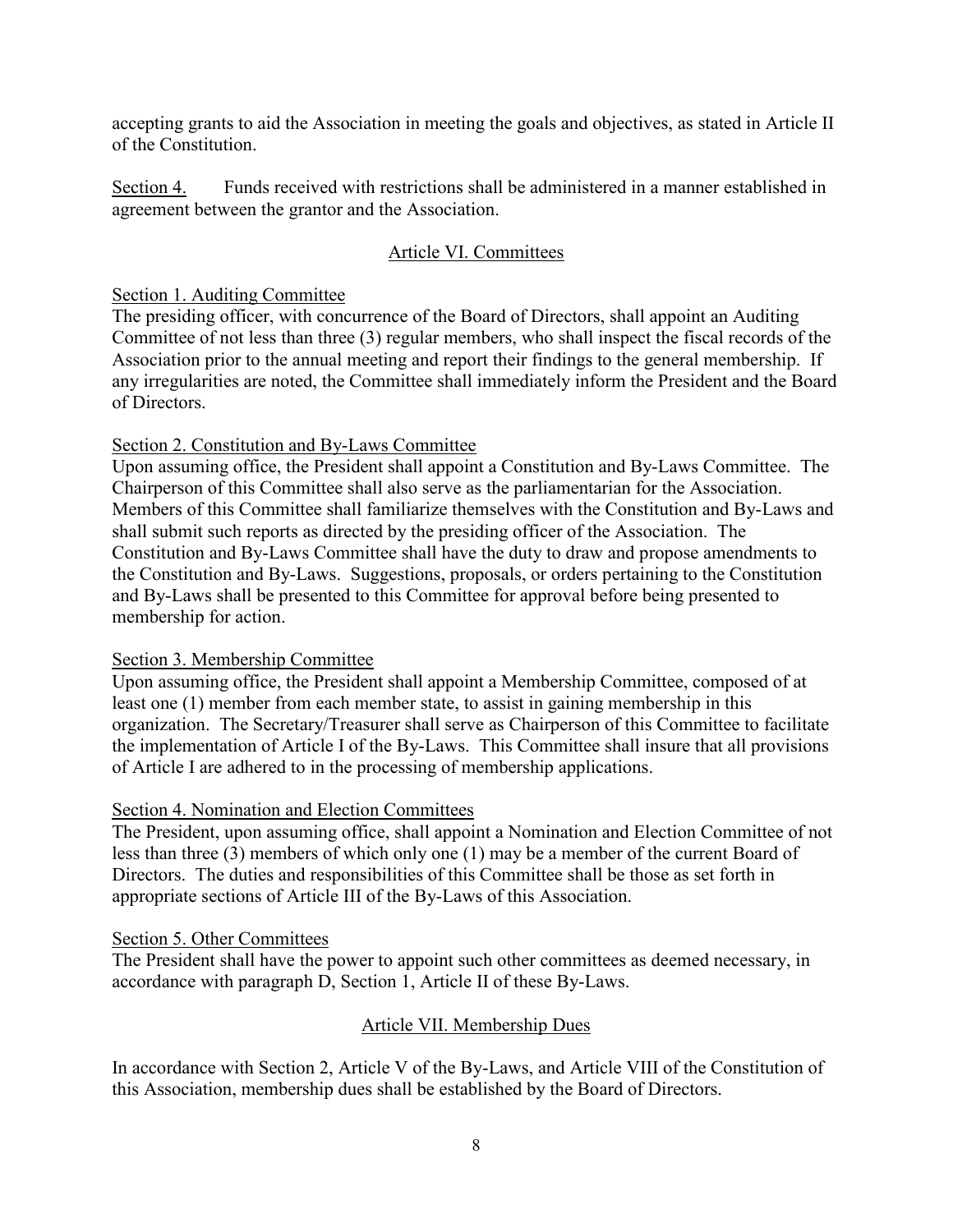accepting grants to aid the Association in meeting the goals and objectives, as stated in Article II of the Constitution.

Section 4. Funds received with restrictions shall be administered in a manner established in agreement between the grantor and the Association.

# Article VI. Committees

# Section 1. Auditing Committee

The presiding officer, with concurrence of the Board of Directors, shall appoint an Auditing Committee of not less than three (3) regular members, who shall inspect the fiscal records of the Association prior to the annual meeting and report their findings to the general membership. If any irregularities are noted, the Committee shall immediately inform the President and the Board of Directors.

# Section 2. Constitution and By-Laws Committee

Upon assuming office, the President shall appoint a Constitution and By-Laws Committee. The Chairperson of this Committee shall also serve as the parliamentarian for the Association. Members of this Committee shall familiarize themselves with the Constitution and By-Laws and shall submit such reports as directed by the presiding officer of the Association. The Constitution and By-Laws Committee shall have the duty to draw and propose amendments to the Constitution and By-Laws. Suggestions, proposals, or orders pertaining to the Constitution and By-Laws shall be presented to this Committee for approval before being presented to membership for action.

# Section 3. Membership Committee

Upon assuming office, the President shall appoint a Membership Committee, composed of at least one (1) member from each member state, to assist in gaining membership in this organization. The Secretary/Treasurer shall serve as Chairperson of this Committee to facilitate the implementation of Article I of the By-Laws. This Committee shall insure that all provisions of Article I are adhered to in the processing of membership applications.

### Section 4. Nomination and Election Committees

The President, upon assuming office, shall appoint a Nomination and Election Committee of not less than three (3) members of which only one (1) may be a member of the current Board of Directors. The duties and responsibilities of this Committee shall be those as set forth in appropriate sections of Article III of the By-Laws of this Association.

### Section 5. Other Committees

The President shall have the power to appoint such other committees as deemed necessary, in accordance with paragraph D, Section 1, Article II of these By-Laws.

# Article VII. Membership Dues

In accordance with Section 2, Article V of the By-Laws, and Article VIII of the Constitution of this Association, membership dues shall be established by the Board of Directors.